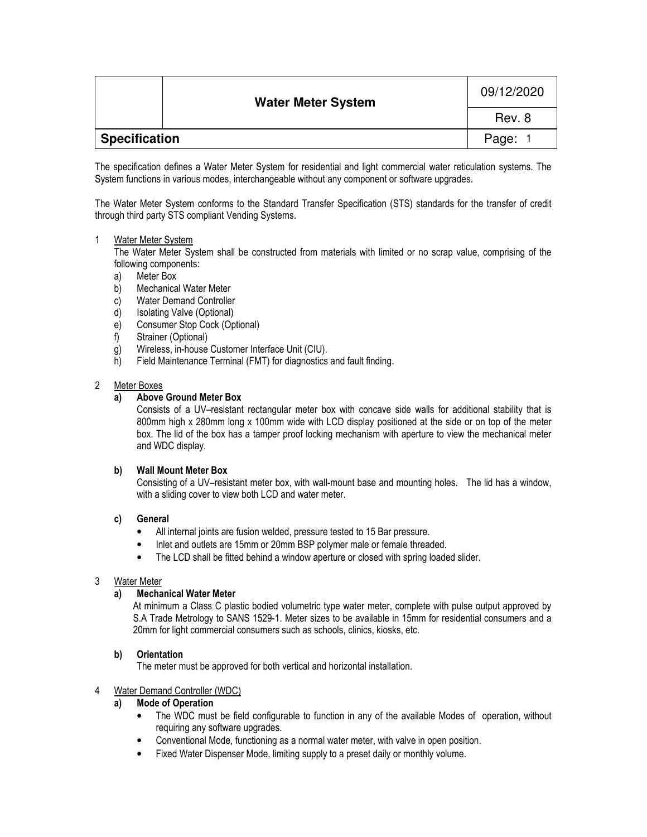|               | <b>Water Meter System</b> | 09/12/2020 |
|---------------|---------------------------|------------|
|               |                           | Rev. 8     |
| Specification |                           | Page:      |

The specification defines a Water Meter System for residential and light commercial water reticulation systems. The System functions in various modes, interchangeable without any component or software upgrades.

The Water Meter System conforms to the Standard Transfer Specification (STS) standards for the transfer of credit through third party STS compliant Vending Systems.

## 1 Water Meter System

The Water Meter System shall be constructed from materials with limited or no scrap value, comprising of the following components:

- a) Meter Box
- b) Mechanical Water Meter
- c) Water Demand Controller
- 
- d) Isolating Valve (Optional)<br>e) Consumer Stop Cock (Op Consumer Stop Cock (Optional)
- f) Strainer (Optional)
- g) Wireless, in-house Customer Interface Unit (CIU).
- h) Field Maintenance Terminal (FMT) for diagnostics and fault finding.

## 2 Meter Boxes

## **a) Above Ground Meter Box**

Consists of a UV–resistant rectangular meter box with concave side walls for additional stability that is 800mm high x 280mm long x 100mm wide with LCD display positioned at the side or on top of the meter box. The lid of the box has a tamper proof locking mechanism with aperture to view the mechanical meter and WDC display.

## **b) Wall Mount Meter Box**

Consisting of a UV–resistant meter box, with wall-mount base and mounting holes. The lid has a window, with a sliding cover to view both LCD and water meter.

## **c) General**

- All internal joints are fusion welded, pressure tested to 15 Bar pressure.
- Inlet and outlets are 15mm or 20mm BSP polymer male or female threaded.
- The LCD shall be fitted behind a window aperture or closed with spring loaded slider.

## 3 Water Meter

## **a) Mechanical Water Meter**

At minimum a Class C plastic bodied volumetric type water meter, complete with pulse output approved by S.A Trade Metrology to SANS 1529-1. Meter sizes to be available in 15mm for residential consumers and a 20mm for light commercial consumers such as schools, clinics, kiosks, etc.

## **b) Orientation**

The meter must be approved for both vertical and horizontal installation.

## 4 Water Demand Controller (WDC)

## **a) Mode of Operation**

- The WDC must be field configurable to function in any of the available Modes of operation, without requiring any software upgrades.
- Conventional Mode, functioning as a normal water meter, with valve in open position.
- Fixed Water Dispenser Mode, limiting supply to a preset daily or monthly volume.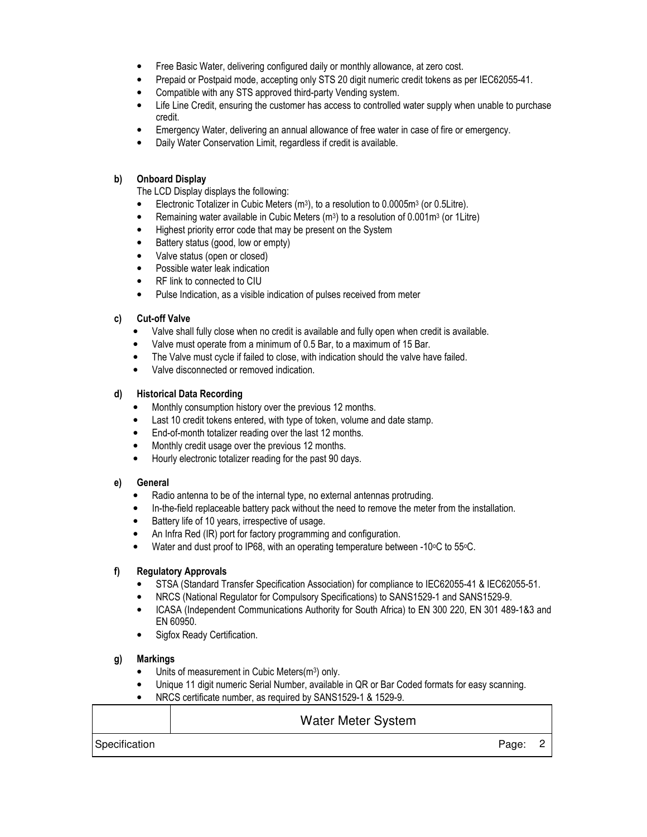- Free Basic Water, delivering configured daily or monthly allowance, at zero cost.
- Prepaid or Postpaid mode, accepting only STS 20 digit numeric credit tokens as per IEC62055-41.
- Compatible with any STS approved third-party Vending system.
- Life Line Credit, ensuring the customer has access to controlled water supply when unable to purchase credit.
- Emergency Water, delivering an annual allowance of free water in case of fire or emergency.
- Daily Water Conservation Limit, regardless if credit is available.

#### **b) Onboard Display**

The LCD Display displays the following:

- Electronic Totalizer in Cubic Meters (m<sup>3</sup>), to a resolution to 0.0005m<sup>3</sup> (or 0.5Litre).
- Remaining water available in Cubic Meters (m<sup>3</sup>) to a resolution of 0.001m<sup>3</sup> (or 1Litre)
- Highest priority error code that may be present on the System
- Battery status (good, low or empty)
- Valve status (open or closed)
- Possible water leak indication
- RF link to connected to CIU
- Pulse Indication, as a visible indication of pulses received from meter

#### **c) Cut-off Valve**

- Valve shall fully close when no credit is available and fully open when credit is available.
- Valve must operate from a minimum of 0.5 Bar, to a maximum of 15 Bar.
- The Valve must cycle if failed to close, with indication should the valve have failed.
- Valve disconnected or removed indication.

#### **d) Historical Data Recording**

- Monthly consumption history over the previous 12 months.
- Last 10 credit tokens entered, with type of token, volume and date stamp.
- End-of-month totalizer reading over the last 12 months.
- Monthly credit usage over the previous 12 months.
- Hourly electronic totalizer reading for the past 90 days.

## **e) General**

- Radio antenna to be of the internal type, no external antennas protruding.
- In-the-field replaceable battery pack without the need to remove the meter from the installation.
- Battery life of 10 years, irrespective of usage.
- An Infra Red (IR) port for factory programming and configuration.
- Water and dust proof to IP68, with an operating temperature between -10°C to 55°C.

## **f) Regulatory Approvals**

- STSA (Standard Transfer Specification Association) for compliance to IEC62055-41 & IEC62055-51.
- NRCS (National Regulator for Compulsory Specifications) to SANS1529-1 and SANS1529-9.
- ICASA (Independent Communications Authority for South Africa) to EN 300 220, EN 301 489-1&3 and EN 60950.
- Sigfox Ready Certification.

## **g) Markings**

- Units of measurement in Cubic Meters(m<sup>3</sup>) only.
- Unique 11 digit numeric Serial Number, available in QR or Bar Coded formats for easy scanning.
- NRCS certificate number, as required by SANS1529-1 & 1529-9.

|               | <b>Water Meter System</b> |  |
|---------------|---------------------------|--|
| Specification | Page:                     |  |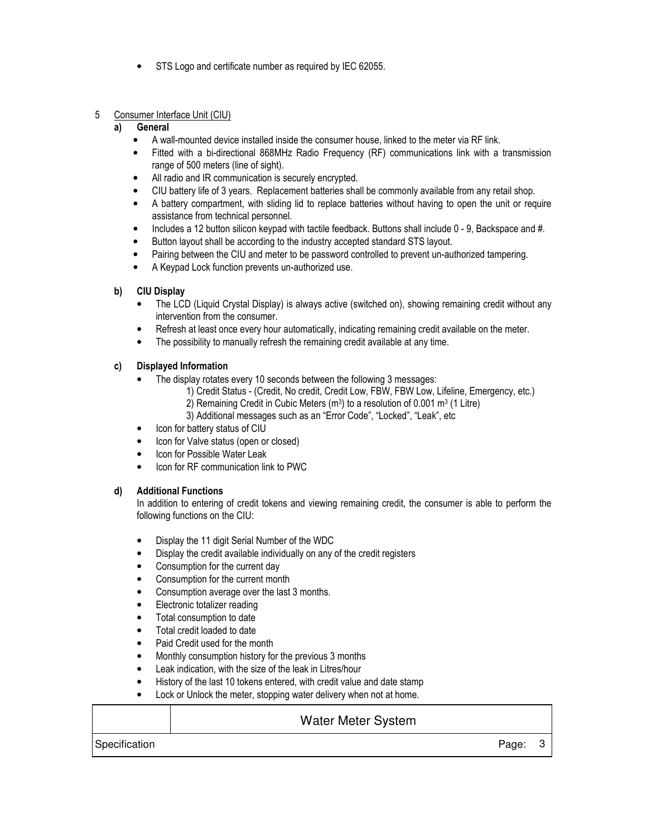- STS Logo and certificate number as required by IEC 62055.
- 5 Consumer Interface Unit (CIU)

## **a) General**

- A wall-mounted device installed inside the consumer house, linked to the meter via RF link.
- Fitted with a bi-directional 868MHz Radio Frequency (RF) communications link with a transmission range of 500 meters (line of sight).
- All radio and IR communication is securely encrypted.
- CIU battery life of 3 years. Replacement batteries shall be commonly available from any retail shop.
- A battery compartment, with sliding lid to replace batteries without having to open the unit or require assistance from technical personnel.
- Includes a 12 button silicon keypad with tactile feedback. Buttons shall include 0 9. Backspace and #.
- Button layout shall be according to the industry accepted standard STS layout.
- Pairing between the CIU and meter to be password controlled to prevent un-authorized tampering.
- A Keypad Lock function prevents un-authorized use.

## **b) CIU Display**

- The LCD (Liquid Crystal Display) is always active (switched on), showing remaining credit without any intervention from the consumer.
- Refresh at least once every hour automatically, indicating remaining credit available on the meter.
- The possibility to manually refresh the remaining credit available at any time.

## **c) Displayed Information**

- The display rotates every 10 seconds between the following 3 messages:
	- 1) Credit Status (Credit, No credit, Credit Low, FBW, FBW Low, Lifeline, Emergency, etc.)
	- 2) Remaining Credit in Cubic Meters (m<sup>3</sup>) to a resolution of 0.001 m<sup>3</sup> (1 Litre)
	- 3) Additional messages such as an "Error Code", "Locked", "Leak", etc
- Icon for battery status of CIU
- Icon for Valve status (open or closed)
- Icon for Possible Water Leak
- Icon for RF communication link to PWC

## **d) Additional Functions**

In addition to entering of credit tokens and viewing remaining credit, the consumer is able to perform the following functions on the CIU:

- Display the 11 digit Serial Number of the WDC
- Display the credit available individually on any of the credit registers
- Consumption for the current day
- Consumption for the current month
- Consumption average over the last 3 months.
- Electronic totalizer reading
- Total consumption to date
- Total credit loaded to date
- Paid Credit used for the month
- Monthly consumption history for the previous 3 months
- Leak indication, with the size of the leak in Litres/hour
- History of the last 10 tokens entered, with credit value and date stamp
- Lock or Unlock the meter, stopping water delivery when not at home.

## Water Meter System

Specification **Page: 3**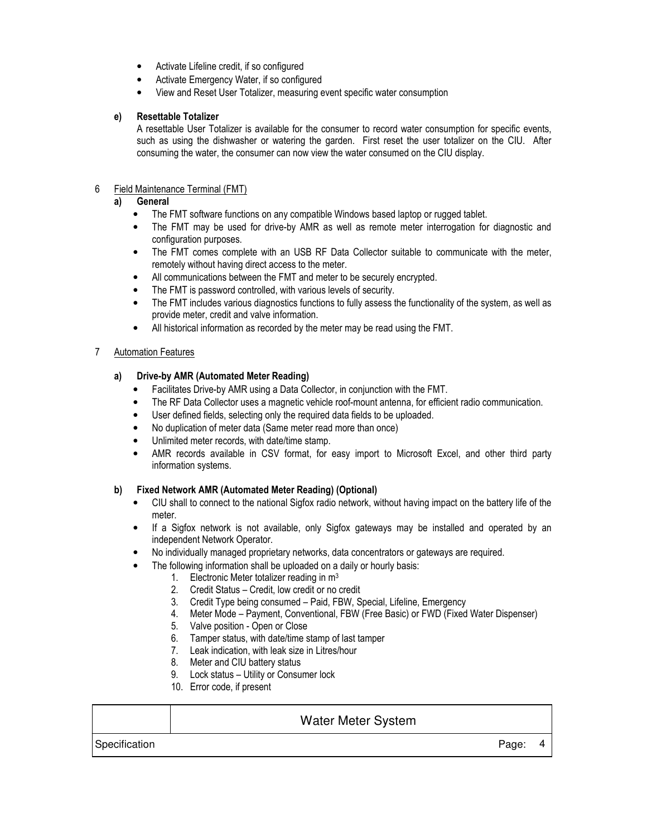- Activate Lifeline credit, if so configured
- Activate Emergency Water, if so configured
- View and Reset User Totalizer, measuring event specific water consumption

## **e) Resettable Totalizer**

A resettable User Totalizer is available for the consumer to record water consumption for specific events, such as using the dishwasher or watering the garden. First reset the user totalizer on the CIU. After consuming the water, the consumer can now view the water consumed on the CIU display.

## 6 Field Maintenance Terminal (FMT)

## **a) General**

- The FMT software functions on any compatible Windows based laptop or rugged tablet.
- The FMT may be used for drive-by AMR as well as remote meter interrogation for diagnostic and configuration purposes.
- The FMT comes complete with an USB RF Data Collector suitable to communicate with the meter, remotely without having direct access to the meter.
- All communications between the FMT and meter to be securely encrypted.
- The FMT is password controlled, with various levels of security.
- The FMT includes various diagnostics functions to fully assess the functionality of the system, as well as provide meter, credit and valve information.
- All historical information as recorded by the meter may be read using the FMT.

## 7 Automation Features

## **a) Drive-by AMR (Automated Meter Reading)**

- Facilitates Drive-by AMR using a Data Collector, in conjunction with the FMT.
- The RF Data Collector uses a magnetic vehicle roof-mount antenna, for efficient radio communication.
- User defined fields, selecting only the required data fields to be uploaded.
- No duplication of meter data (Same meter read more than once)
- Unlimited meter records, with date/time stamp.
- AMR records available in CSV format, for easy import to Microsoft Excel, and other third party information systems.

## **b) Fixed Network AMR (Automated Meter Reading) (Optional)**

- CIU shall to connect to the national Sigfox radio network, without having impact on the battery life of the meter.
- If a Sigfox network is not available, only Sigfox gateways may be installed and operated by an independent Network Operator.
- No individually managed proprietary networks, data concentrators or gateways are required.
- The following information shall be uploaded on a daily or hourly basis:
	- 1. Electronic Meter totalizer reading in  $m<sup>3</sup>$
	- 2. Credit Status Credit, low credit or no credit
	- 3. Credit Type being consumed Paid, FBW, Special, Lifeline, Emergency
	- 4. Meter Mode Payment, Conventional, FBW (Free Basic) or FWD (Fixed Water Dispenser)
	- 5. Valve position Open or Close
	- 6. Tamper status, with date/time stamp of last tamper
	- 7. Leak indication, with leak size in Litres/hour
	- 8. Meter and CIU battery status
	- 9. Lock status Utility or Consumer lock
	- 10. Error code, if present

# Water Meter System Specification **Page: 4**